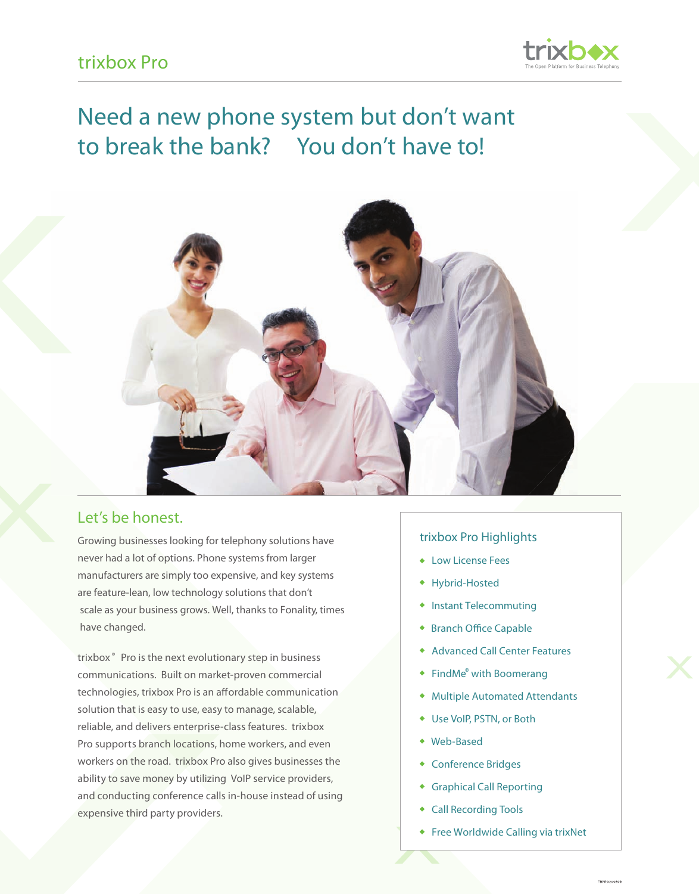

# Need a new phone system but don't want to break the bank? You don't have to!



### Let's be honest.

Growing businesses looking for telephony solutions have never had a lot of options. Phone systems from larger manufacturers are simply too expensive, and key systems are feature-lean, low technology solutions that don't scale as your business grows. Well, thanks to Fonality, times have changed.

trixbox ® Pro is the next evolutionary step in business communications. Built on market-proven commercial technologies, trixbox Pro is an affordable communication solution that is easy to use, easy to manage, scalable, reliable, and delivers enterprise-class features. trixbox Pro supports branch locations, home workers, and even workers on the road. trixbox Pro also gives businesses the ability to save money by utilizing VoIP service providers, and conducting conference calls in-house instead of using expensive third party providers.

#### trixbox Pro Highlights

- Low License Fees
- Hybrid-Hosted
- Instant Telecommuting
- ◆ Branch Office Capable
- Advanced Call Center Features
- FindMe<sup>®</sup> with Boomerang
- Multiple Automated Attendants
- Use VoIP, PSTN, or Both
- Web-Based
- Conference Bridges  $\blacklozenge$
- Graphical Call Reporting
- Call Recording Tools
- Free Worldwide Calling via trixNet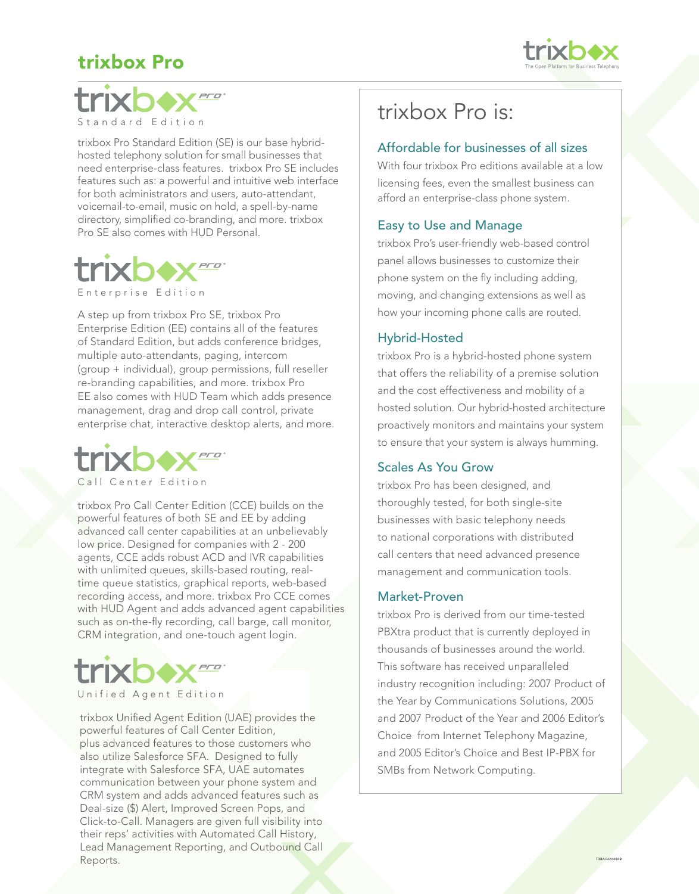## trixbox Pro





trixbox Pro Standard Edition (SE) is our base hybridhosted telephony solution for small businesses that need enterprise-class features. trixbox Pro SE includes features such as: a powerful and intuitive web interface for both administrators and users, auto-attendant, voicemail-to-email, music on hold, a spell-by-name directory, simplified co-branding, and more. trixbox Pro SE also comes with HUD Personal.



Enterprise Edition

A step up from trixbox Pro SE, trixbox Pro Enterprise Edition (EE) contains all of the features of Standard Edition, but adds conference bridges, multiple auto-attendants, paging, intercom (group + individual), group permissions, full reseller re-branding capabilities, and more. trixbox Pro EE also comes with HUD Team which adds presence management, drag and drop call control, private enterprise chat, interactive desktop alerts, and more.



Call Center Edition

trixbox Pro Call Center Edition (CCE) builds on the powerful features of both SE and EE by adding advanced call center capabilities at an unbelievably low price. Designed for companies with 2 - 200 agents, CCE adds robust ACD and IVR capabilities with unlimited queues, skills-based routing, realtime queue statistics, graphical reports, web-based recording access, and more. trixbox Pro CCE comes with HUD Agent and adds advanced agent capabilities such as on-the-fly recording, call barge, call monitor, CRM integration, and one-touch agent login.



trixbox Unified Agent Edition (UAE) provides the powerful features of Call Center Edition, plus advanced features to those customers who also utilize Salesforce SFA. Designed to fully integrate with Salesforce SFA, UAE automates communication between your phone system and CRM system and adds advanced features such as Deal-size (\$) Alert, Improved Screen Pops, and Click-to-Call. Managers are given full visibility into their reps' activities with Automated Call History, Lead Management Reporting, and Outbound Call Reports.

# trixbox Pro is:

#### Affordable for businesses of all sizes

With four trixbox Pro editions available at a low licensing fees, even the smallest business can afford an enterprise-class phone system.

#### Easy to Use and Manage

trixbox Pro's user-friendly web-based control panel allows businesses to customize their phone system on the fly including adding, moving, and changing extensions as well as how your incoming phone calls are routed.

#### Hybrid-Hosted

trixbox Pro is a hybrid-hosted phone system that offers the reliability of a premise solution and the cost effectiveness and mobility of a hosted solution. Our hybrid-hosted architecture proactively monitors and maintains your system to ensure that your system is always humming.

#### Scales As You Grow

trixbox Pro has been designed, and thoroughly tested, for both single-site businesses with basic telephony needs to national corporations with distributed call centers that need advanced presence management and communication tools.

#### Market-Proven

trixbox Pro is derived from our time-tested PBXtra product that is currently deployed in thousands of businesses around the world. This software has received unparalleled industry recognition including: 2007 Product of the Year by Communications Solutions, 2005 and 2007 Product of the Year and 2006 Editor's Choice from Internet Telephony Magazine, and 2005 Editor's Choice and Best IP-PBX for SMBs from Network Computing.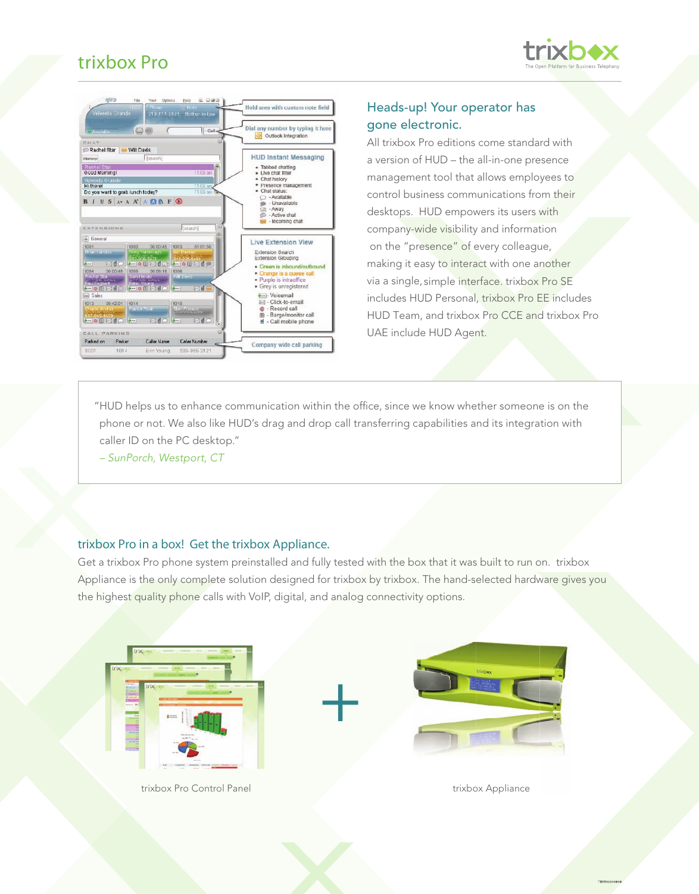## trixbox Pro





### Heads-up! Your operator has gone electronic.

All trixbox Pro editions come standard with a version of HUD – the all-in-one presence management tool that allows employees to control business communications from their desktops. HUD empowers its users with company-wide visibility and information on the "presence" of every colleague, making it easy to interact with one another via a single, simple interface. trixbox Pro SE includes HUD Personal, trixbox Pro EE includes HUD Team, and trixbox Pro CCE and trixbox Pro UAE include HUD Agent.

"HUD helps us to enhance communication within the office, since we know whether someone is on the phone or not. We also like HUD's drag and drop call transferring capabilities and its integration with caller ID on the PC desktop."

*– SunPorch, Westport, CT*

#### trixbox Pro in a box! Get the trixbox Appliance.

Get a trixbox Pro phone system preinstalled and fully tested with the box that it was built to run on. trixbox Appliance is the only complete solution designed for trixbox by trixbox. The hand-selected hardware gives you the highest quality phone calls with VoIP, digital, and analog connectivity options.

+



trixbox Pro Control Panel



trixbox Appliance